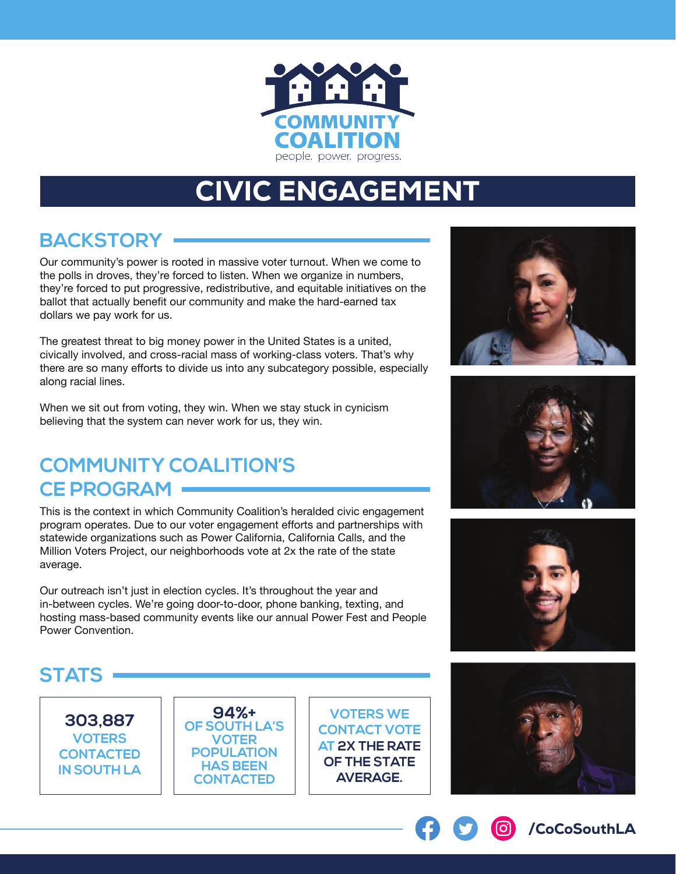

# CIVIC ENGAGEMENT

## **BACKSTORY**

Our community's power is rooted in massive voter turnout. When we come to the polls in droves, they're forced to listen. When we organize in numbers, they're forced to put progressive, redistributive, and equitable initiatives on the ballot that actually benefit our community and make the hard-earned tax dollars we pay work for us.

The greatest threat to big money power in the United States is a united, civically involved, and cross-racial mass of working-class voters. That's why there are so many efforts to divide us into any subcategory possible, especially along racial lines.

When we sit out from voting, they win. When we stay stuck in cynicism believing that the system can never work for us, they win.

## **COMMUNITY COALITION'S CE PROGRAM**

This is the context in which Community Coalition's heralded civic engagement program operates. Due to our voter engagement efforts and partnerships with statewide organizations such as Power California, California Calls, and the Million Voters Project, our neighborhoods vote at 2x the rate of the state average.

Our outreach isn't just in election cycles. It's throughout the year and in-between cycles. We're going door-to-door, phone banking, texting, and hosting mass-based community events like our annual Power Fest and People Power Convention.

#### **STATS**

**303,887 VOTERS CONTACTED IN SOUTH LA**

**94%+ OF SOUTH LA'S VOTER POPULATION HAS BEEN CONTACTED**

**VOTERS WE CONTACT VOTE AT 2X THE RATE OF THE STATE AVERAGE.**









/CoCoSouthLA